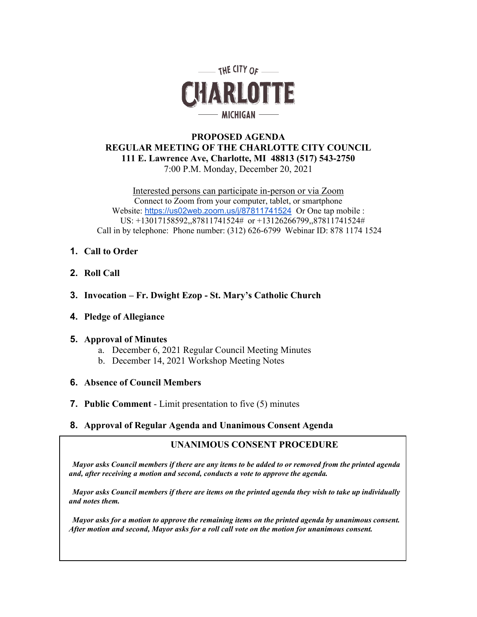

# **PROPOSED AGENDA REGULAR MEETING OF THE CHARLOTTE CITY COUNCIL 111 E. Lawrence Ave, Charlotte, MI 48813 (517) 543-2750** 7:00 P.M. Monday, December 20, 2021

Interested persons can participate in-person or via Zoom Connect to Zoom from your computer, tablet, or smartphone Website: <https://us02web.zoom.us/j/87811741524>Or One tap mobile : US: +13017158592,,87811741524# or +13126266799,,87811741524# Call in by telephone: Phone number: (312) 626-6799 Webinar ID: 878 1174 1524

- **1. Call to Order**
- **2. Roll Call**
- **3. Invocation – Fr. Dwight Ezop - St. Mary's Catholic Church**
- **4. Pledge of Allegiance**

# **5. Approval of Minutes**

- a. December 6, 2021 Regular Council Meeting Minutes
- b. December 14, 2021 Workshop Meeting Notes

# **6. Absence of Council Members**

- **7. Public Comment**  Limit presentation to five (5) minutes
- **8. Approval of Regular Agenda and Unanimous Consent Agenda**

# **UNANIMOUS CONSENT PROCEDURE**

*Mayor asks Council members if there are any items to be added to or removed from the printed agenda and, after receiving a motion and second, conducts a vote to approve the agenda.*

*Mayor asks Council members if there are items on the printed agenda they wish to take up individually and notes them.*

*Mayor asks for a motion to approve the remaining items on the printed agenda by unanimous consent. After motion and second, Mayor asks for a roll call vote on the motion for unanimous consent.*